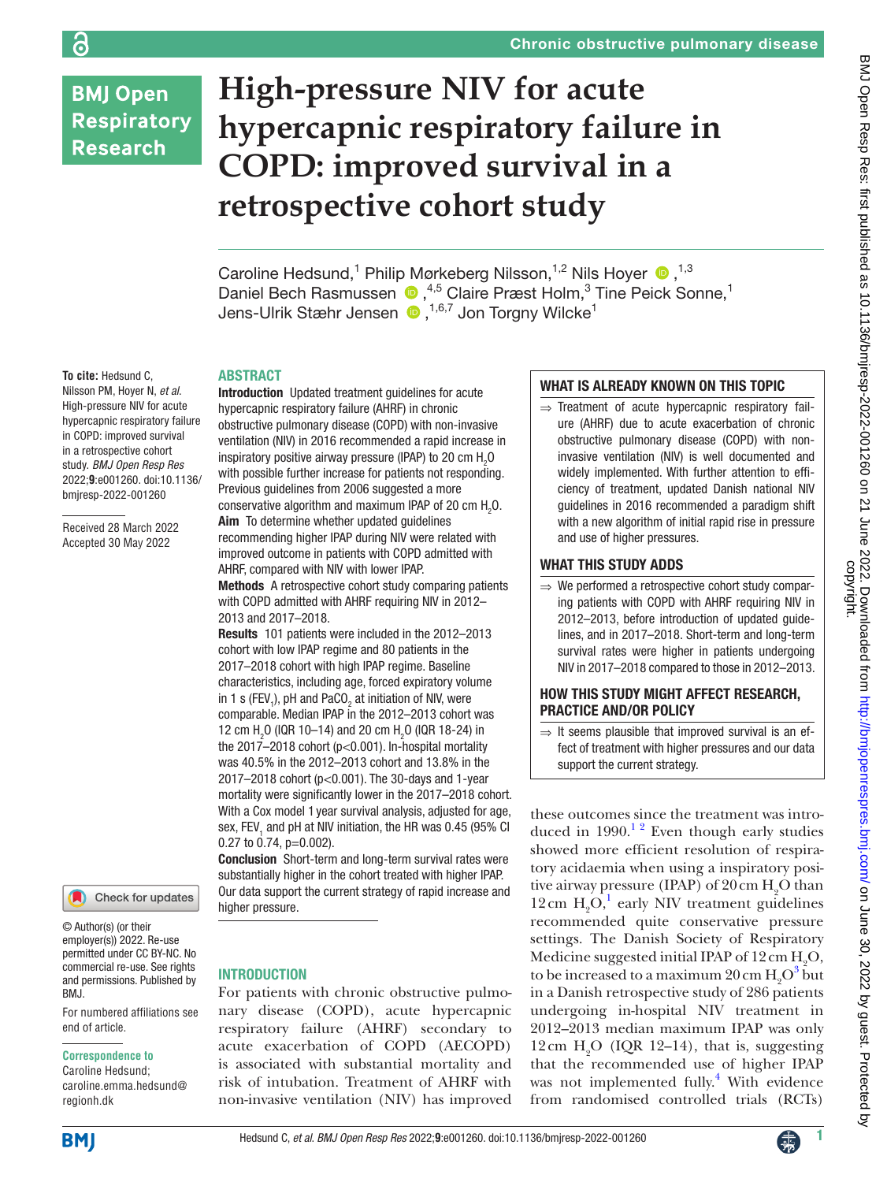# **BMJ Open Respiratory Research**

ခြ

# **High-pressure NIV for acute hypercapnic respiratory failure in COPD: improved survival in a retrospective cohort study**

Caroline Hedsund,<sup>1</sup> Philip Mørkeberg Nilsson,<sup>1,2</sup> Nils Hoyer <sup>1,3</sup> DanielBech Rasmussen (D, <sup>4,5</sup> Claire Præst Holm,<sup>3</sup> Tine Peick Sonne,<sup>1</sup> Jens-Ulrik Stæhr Jensen  $\, \, \bullet \, , ^{1,6,7}$  Jon Torgny Wilcke<sup>1</sup>

#### ABSTRACT

**To cite:** Hedsund C, Nilsson PM, Hoyer N, *et al*. High-pressure NIV for acute hypercapnic respiratory failure in COPD: improved survival in a retrospective cohort study. *BMJ Open Resp Res* 2022;**9**:e001260. doi:10.1136/ bmjresp-2022-001260

Received 28 March 2022 Accepted 30 May 2022



© Author(s) (or their employer(s)) 2022. Re-use permitted under CC BY-NC. No commercial re-use. See rights and permissions. Published by BMJ.

For numbered affiliations see end of article.

#### **Correspondence to**

Caroline Hedsund; caroline.emma.hedsund@ regionh.dk

Introduction Updated treatment guidelines for acute hypercapnic respiratory failure (AHRF) in chronic obstructive pulmonary disease (COPD) with non-invasive ventilation (NIV) in 2016 recommended a rapid increase in inspiratory positive airway pressure (IPAP) to 20 cm  $\rm H_2O$ with possible further increase for patients not responding. Previous guidelines from 2006 suggested a more conservative algorithm and maximum IPAP of 20 cm  $H_2O$ . Aim To determine whether updated guidelines recommending higher IPAP during NIV were related with improved outcome in patients with COPD admitted with AHRF, compared with NIV with lower IPAP. Methods A retrospective cohort study comparing patients

with COPD admitted with AHRF requiring NIV in 2012– 2013 and 2017–2018.

Results 101 patients were included in the 2012–2013 cohort with low IPAP regime and 80 patients in the 2017–2018 cohort with high IPAP regime. Baseline characteristics, including age, forced expiratory volume in 1 s (FEV<sub>1</sub>), pH and PaCO<sub>2</sub> at initiation of NIV, were comparable. Median IPAP in the 2012–2013 cohort was 12 cm H<sub>2</sub>O (IQR 10–14) and 20 cm H<sub>2</sub>O (IQR 18-24) in the 2017–2018 cohort (p<0.001). In-hospital mortality was 40.5% in the 2012–2013 cohort and 13.8% in the 2017–2018 cohort (p<0.001). The 30-days and 1-year mortality were significantly lower in the 2017–2018 cohort. With a Cox model 1 year survival analysis, adjusted for age, sex, FEV<sub>1</sub> and pH at NIV initiation, the HR was 0.45 (95% CI 0.27 to 0.74, p=0.002).

Conclusion Short-term and long-term survival rates were substantially higher in the cohort treated with higher IPAP. Our data support the current strategy of rapid increase and higher pressure.

#### INTRODUCTION

For patients with chronic obstructive pulmonary disease (COPD), acute hypercapnic respiratory failure (AHRF) secondary to acute exacerbation of COPD (AECOPD) is associated with substantial mortality and risk of intubation. Treatment of AHRF with non-invasive ventilation (NIV) has improved

## WHAT IS ALREADY KNOWN ON THIS TOPIC

⇒ Treatment of acute hypercapnic respiratory failure (AHRF) due to acute exacerbation of chronic obstructive pulmonary disease (COPD) with noninvasive ventilation (NIV) is well documented and widely implemented. With further attention to efficiency of treatment, updated Danish national NIV guidelines in 2016 recommended a paradigm shift with a new algorithm of initial rapid rise in pressure and use of higher pressures.

### WHAT THIS STUDY ADDS

 $\Rightarrow$  We performed a retrospective cohort study comparing patients with COPD with AHRF requiring NIV in 2012–2013, before introduction of updated guidelines, and in 2017–2018. Short-term and long-term survival rates were higher in patients undergoing NIV in 2017–2018 compared to those in 2012–2013.

#### HOW THIS STUDY MIGHT AFFECT RESEARCH, PRACTICE AND/OR POLICY

 $\Rightarrow$  It seems plausible that improved survival is an effect of treatment with higher pressures and our data support the current strategy.

these outcomes since the treatment was introduced in  $1990<sup>12</sup>$  Even though early studies showed more efficient resolution of respiratory acidaemia when using a inspiratory positive airway pressure (IPAP) of  $20 \text{ cm } H_2$ O than 12 cm  $H_2O<sup>1</sup>$  early NIV treatment guidelines recommended quite conservative pressure settings. The Danish Society of Respiratory Medicine suggested initial IPAP of  $12 \text{ cm } H_2\text{O}$ , to be increased to a maximum  $20 \text{ cm } H_2O^3$  but in a Danish retrospective study of 286 patients undergoing in-hospital NIV treatment in 2012–2013 median maximum IPAP was only 12 cm  $H_2O$  (IQR 12–14), that is, suggesting that the recommended use of higher IPAP was not implemented fully.<sup>4</sup> With evidence from randomised controlled trials (RCTs)

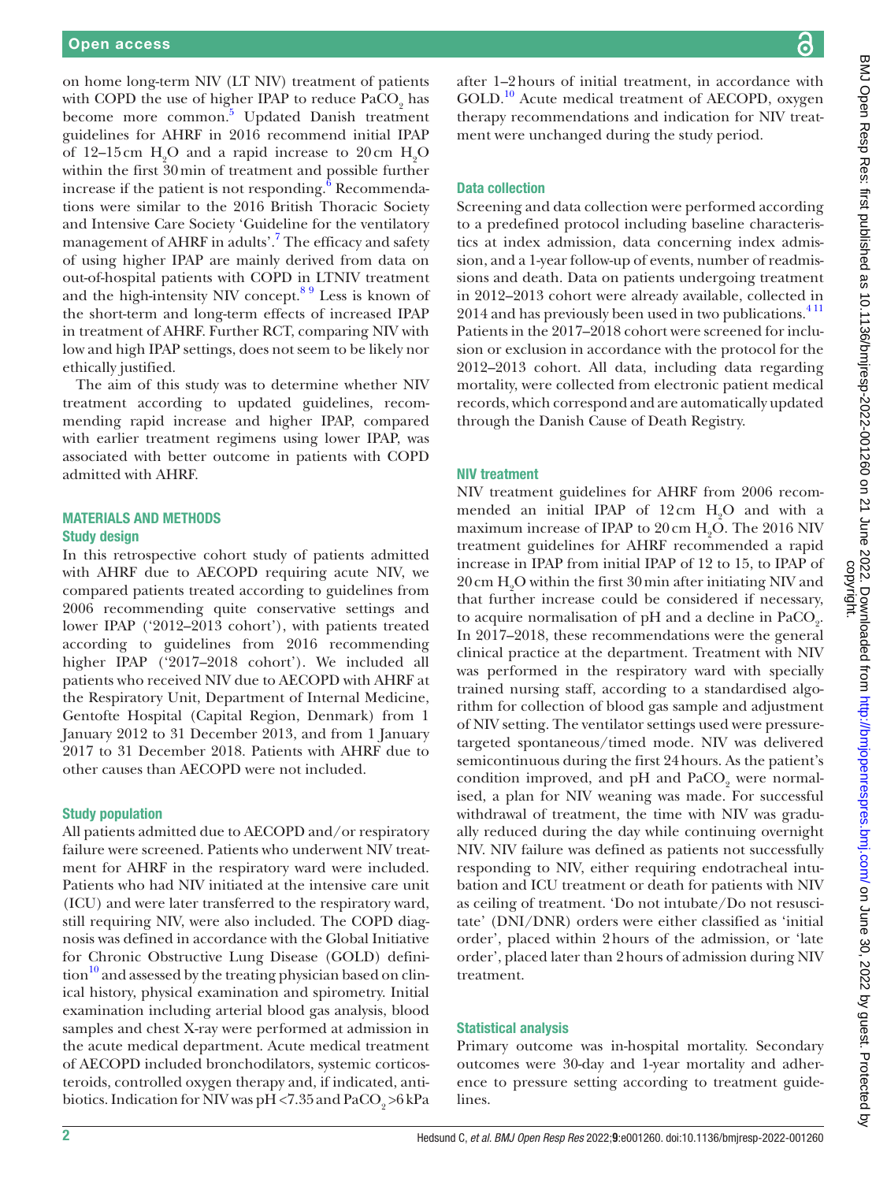on home long-term NIV (LT NIV) treatment of patients with COPD the use of higher IPAP to reduce  $\text{PaCO}_2$  has become more common.<sup>[5](#page-6-3)</sup> Updated Danish treatment guidelines for AHRF in 2016 recommend initial IPAP of 12–15 cm  $H_2O$  and a rapid increase to 20 cm  $H_2O$ within the first 30min of treatment and possible further increase if the patient is not responding. $^6$  $^6$  Recommendations were similar to the 2016 British Thoracic Society and Intensive Care Society 'Guideline for the ventilatory management of AHRF in adults'.<sup>[7](#page-6-5)</sup> The efficacy and safety of using higher IPAP are mainly derived from data on out-of-hospital patients with COPD in LTNIV treatment and the high-intensity NIV concept. $8<sup>9</sup>$  Less is known of the short-term and long-term effects of increased IPAP in treatment of AHRF. Further RCT, comparing NIV with low and high IPAP settings, does not seem to be likely nor ethically justified.

The aim of this study was to determine whether NIV treatment according to updated guidelines, recommending rapid increase and higher IPAP, compared with earlier treatment regimens using lower IPAP, was associated with better outcome in patients with COPD admitted with AHRF.

#### MATERIALS AND METHODS Study design

In this retrospective cohort study of patients admitted with AHRF due to AECOPD requiring acute NIV, we compared patients treated according to guidelines from 2006 recommending quite conservative settings and lower IPAP ('2012–2013 cohort'), with patients treated according to guidelines from 2016 recommending higher IPAP ('2017–2018 cohort'). We included all patients who received NIV due to AECOPD with AHRF at the Respiratory Unit, Department of Internal Medicine, Gentofte Hospital (Capital Region, Denmark) from 1 January 2012 to 31 December 2013, and from 1 January 2017 to 31 December 2018. Patients with AHRF due to other causes than AECOPD were not included.

#### Study population

All patients admitted due to AECOPD and/or respiratory failure were screened. Patients who underwent NIV treatment for AHRF in the respiratory ward were included. Patients who had NIV initiated at the intensive care unit (ICU) and were later transferred to the respiratory ward, still requiring NIV, were also included. The COPD diagnosis was defined in accordance with the Global Initiative for Chronic Obstructive Lung Disease (GOLD) defini- $\frac{10}{2}$  $\frac{10}{2}$  $\frac{10}{2}$  and assessed by the treating physician based on clinical history, physical examination and spirometry. Initial examination including arterial blood gas analysis, blood samples and chest X-ray were performed at admission in the acute medical department. Acute medical treatment of AECOPD included bronchodilators, systemic corticosteroids, controlled oxygen therapy and, if indicated, antibiotics. Indication for NIV was pH <7.35 and  $PaCO<sub>9</sub> > 6$  kPa

after 1–2hours of initial treatment, in accordance with GOLD.<sup>10</sup> Acute medical treatment of AECOPD, oxygen therapy recommendations and indication for NIV treatment were unchanged during the study period.

#### Data collection

Screening and data collection were performed according to a predefined protocol including baseline characteristics at index admission, data concerning index admission, and a 1-year follow-up of events, number of readmissions and death. Data on patients undergoing treatment in 2012–2013 cohort were already available, collected in 2014 and has previously been used in two publications.<sup>411</sup> Patients in the 2017–2018 cohort were screened for inclusion or exclusion in accordance with the protocol for the 2012–2013 cohort. All data, including data regarding mortality, were collected from electronic patient medical records, which correspond and are automatically updated through the Danish Cause of Death Registry.

#### NIV treatment

NIV treatment guidelines for AHRF from 2006 recommended an initial IPAP of  $12 \text{ cm}$  H<sub>2</sub>O and with a maximum increase of IPAP to  $20 \text{ cm H}_2\text{O}$ . The  $2016 \text{ NIV}$ treatment guidelines for AHRF recommended a rapid increase in IPAP from initial IPAP of 12 to 15, to IPAP of  $20 \text{ cm H}_2\text{O}$  within the first  $30 \text{ min}$  after initiating NIV and that further increase could be considered if necessary, to acquire normalisation of pH and a decline in  $PaCO<sub>2</sub>$ . In 2017–2018, these recommendations were the general clinical practice at the department. Treatment with NIV was performed in the respiratory ward with specially trained nursing staff, according to a standardised algorithm for collection of blood gas sample and adjustment of NIV setting. The ventilator settings used were pressuretargeted spontaneous/timed mode. NIV was delivered semicontinuous during the first 24hours. As the patient's condition improved, and pH and  $PaCO<sub>2</sub>$  were normalised, a plan for NIV weaning was made. For successful withdrawal of treatment, the time with NIV was gradually reduced during the day while continuing overnight NIV. NIV failure was defined as patients not successfully responding to NIV, either requiring endotracheal intubation and ICU treatment or death for patients with NIV as ceiling of treatment. 'Do not intubate/Do not resuscitate' (DNI/DNR) orders were either classified as 'initial order', placed within 2hours of the admission, or 'late order', placed later than 2hours of admission during NIV treatment.

#### Statistical analysis

Primary outcome was in-hospital mortality. Secondary outcomes were 30-day and 1-year mortality and adherence to pressure setting according to treatment guidelines.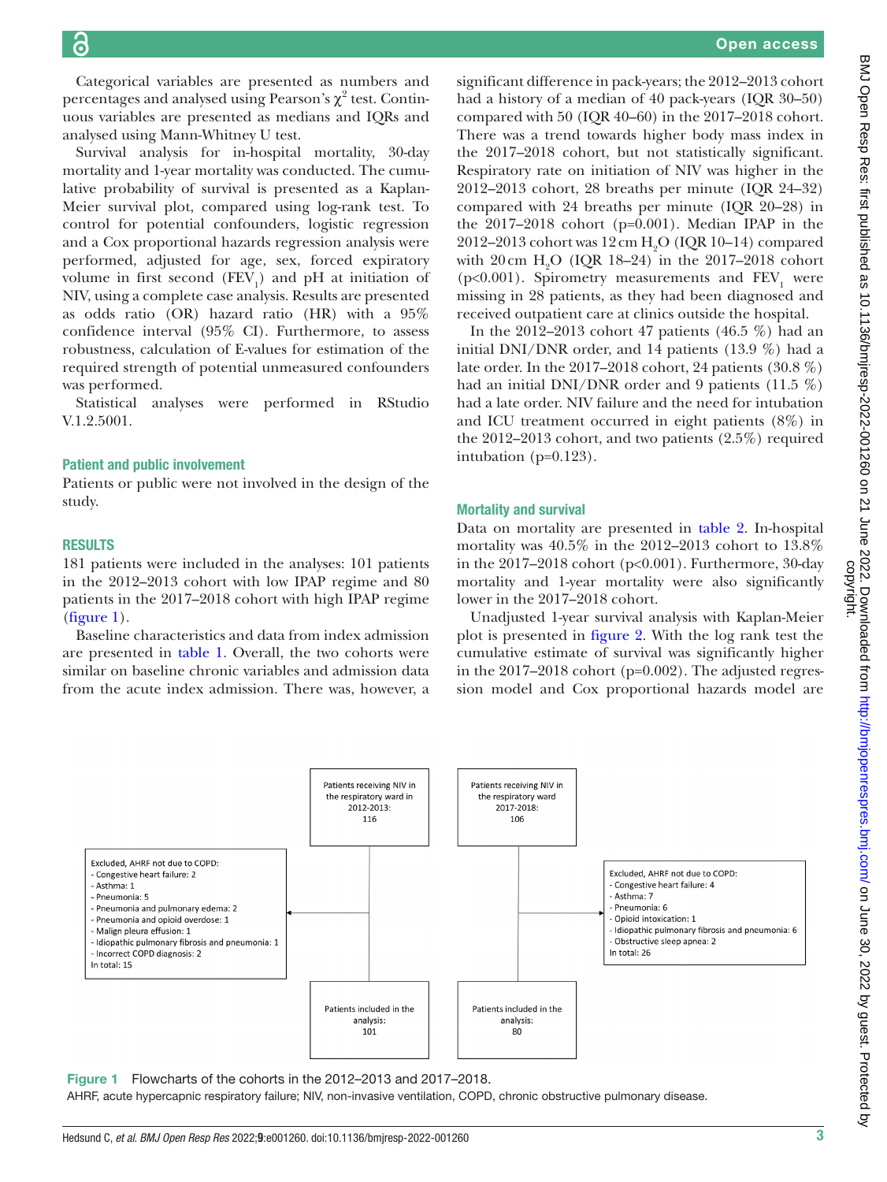Categorical variables are presented as numbers and percentages and analysed using Pearson's  $\chi^2$  test. Continuous variables are presented as medians and IQRs and analysed using Mann-Whitney U test.

Survival analysis for in-hospital mortality, 30-day mortality and 1-year mortality was conducted. The cumulative probability of survival is presented as a Kaplan-Meier survival plot, compared using log-rank test. To control for potential confounders, logistic regression and a Cox proportional hazards regression analysis were performed, adjusted for age, sex, forced expiratory volume in first second  $(FEV_1)$  and pH at initiation of NIV, using a complete case analysis. Results are presented as odds ratio (OR) hazard ratio (HR) with a 95% confidence interval (95% CI). Furthermore, to assess robustness, calculation of E-values for estimation of the required strength of potential unmeasured confounders was performed.

Statistical analyses were performed in RStudio V.1.2.5001.

#### Patient and public involvement

Patients or public were not involved in the design of the study.

#### RESULTS

181 patients were included in the analyses: 101 patients in the 2012–2013 cohort with low IPAP regime and 80 patients in the 2017–2018 cohort with high IPAP regime  $(figure 1)$  $(figure 1)$ .

Baseline characteristics and data from index admission are presented in [table](#page-3-0) 1. Overall, the two cohorts were similar on baseline chronic variables and admission data from the acute index admission. There was, however, a

significant difference in pack-years; the 2012–2013 cohort had a history of a median of 40 pack-years (IQR 30–50) compared with 50 (IQR 40–60) in the 2017–2018 cohort. There was a trend towards higher body mass index in the 2017–2018 cohort, but not statistically significant. Respiratory rate on initiation of NIV was higher in the 2012–2013 cohort, 28 breaths per minute (IQR 24–32) compared with 24 breaths per minute (IQR 20–28) in the 2017–2018 cohort (p=0.001). Median IPAP in the 2012–2013 cohort was  $12 \text{ cm H}_2$ O (IQR 10–14) compared with  $20 \text{ cm } H_2$ O (IQR 18–24) in the 2017–2018 cohort (p<0.001). Spirometry measurements and  $\text{FEV}_1$  were missing in 28 patients, as they had been diagnosed and received outpatient care at clinics outside the hospital.

In the 2012–2013 cohort 47 patients (46.5 %) had an initial DNI/DNR order, and 14 patients (13.9 %) had a late order. In the 2017–2018 cohort, 24 patients (30.8 %) had an initial DNI/DNR order and 9 patients (11.5 %) had a late order. NIV failure and the need for intubation and ICU treatment occurred in eight patients (8%) in the 2012–2013 cohort, and two patients (2.5%) required intubation (p=0.123).

#### Mortality and survival

Data on mortality are presented in [table](#page-4-0) 2. In-hospital mortality was 40.5% in the 2012–2013 cohort to 13.8% in the 2017–2018 cohort (p<0.001). Furthermore, 30-day mortality and 1-year mortality were also significantly lower in the 2017–2018 cohort.

Unadjusted 1-year survival analysis with Kaplan-Meier plot is presented in [figure](#page-4-1) 2. With the log rank test the cumulative estimate of survival was significantly higher in the 2017–2018 cohort (p=0.002). The adjusted regression model and Cox proportional hazards model are



<span id="page-2-0"></span>Figure 1 Flowcharts of the cohorts in the 2012–2013 and 2017–2018.

AHRF, acute hypercapnic respiratory failure; NIV, non-invasive ventilation, COPD, chronic obstructive pulmonary disease.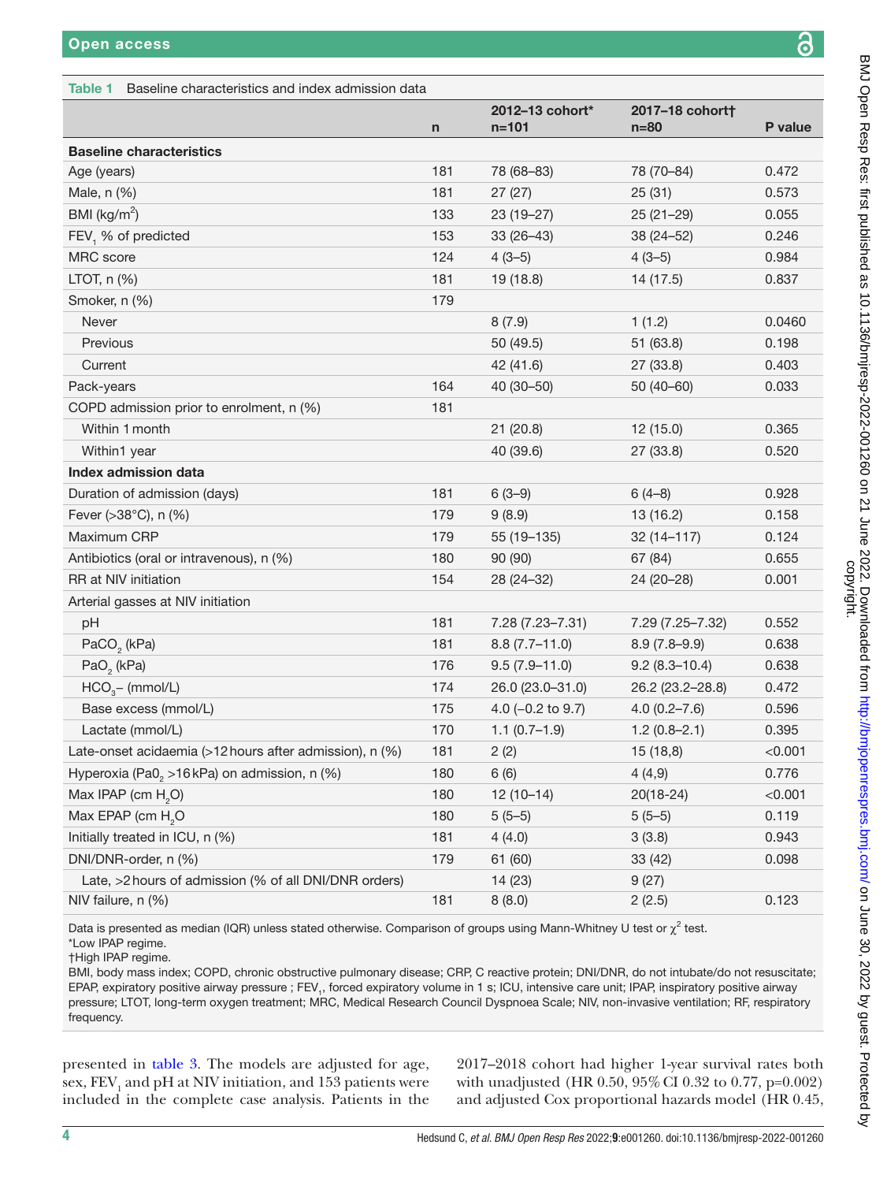#### <span id="page-3-0"></span>Table 1 Baseline characteristics and index admission data n 2012–13 cohort\* n=101 2017–18 cohort† n=80 P value Baseline characteristics Age (years) 181 78 (68–83) 78 (70–84) 0.472 Male, n (%) 181 27 (27) 25 (31) 0.573 BMI ( $kg/m<sup>2</sup>$ ) ) 133 23 (19–27) 25 (21–29) 0.055 FEV<sub>1</sub> % of predicted 0.246 MRC score 124 4 (3–5) 4 (3–5) 0.984 LTOT, n (%) 181 19 (18.8) 14 (17.5) 0.837 Smoker, n (%) 179 Never 8 (7.9) 1 (1.2) 0.0460 Previous 50 (49.5) 51 (63.8) 0.198 Current 42 (41.6) 27 (33.8) 0.403 Pack-years 164 40 (30–50) 50 (40–60) 0.033 COPD admission prior to enrolment, n (%) 181 Within 1month 21 (20.8) 12 (15.0) 0.365 Within1 year 40 (39.6) 27 (33.8) 0.520 Index admission data Duration of admission (days) 181 6 (3–9) 6 (4–8) 0.928 Fever (>38°C), n (%) 179 9 (8.9) 13 (16.2) 179 9 (8.9) Maximum CRP 179 55 (19–135) 32 (14–117) 0.124 Antibiotics (oral or intravenous), n (%) 180 90 (90) 67 (84) 67 (84) 0.655 RR at NIV initiation 154 28 (24–32) 24 (20–28) 0.001 Arterial gasses at NIV initiation pH 181 7.28 (7.23–7.31) 7.29 (7.25–7.32) 0.552 PaCO<sub>2</sub> (kPa) (kPa) 181 8.8 (7.7–11.0) 8.9 (7.8–9.9) 0.638 PaO<sub>2</sub> (kPa) (kPa) 176 9.5 (7.9–11.0) 9.2 (8.3–10.4) 0.638  $HCO<sub>3</sub>$  (mmol/L) 174 26.0 (23.0–31.0) 26.2 (23.2–28.8) 0.472 Base excess (mmol/L) 175 4.0 (−0.2 to 9.7) 4.0 (0.2–7.6) 0.596 Lactate (mmol/L) 170 1.1 (0.7–1.9) 1.2 (0.8–2.1) 0.395 Late-onset acidaemia (>12 hours after admission), n  $(\%)$  181 2 (2) 15 (18,8)  $\angle 0.001$ Hyperoxia (Pa0<sub>2</sub> >16kPa) on admission, n (%)  $6(6)$  6 (6)  $4(4,9)$  0.776 Max IPAP (cm  $H<sub>2</sub>O$ ) O) 180 12 (10–14) 20(18-24) <0.001 Max EPAP (cm H<sub>2</sub>O O 180 5 (5–5) 5 (5–6) 0.119 Initially treated in ICU, n (%) 181 4 (4.0) 3 (3.8) 0.943 DNI/DNR-order, n (%) 179 61 (60) 33 (42) 0.098 Late, >2 hours of admission (% of all DNI/DNR orders) 14 (23) 9 (27) NIV failure, n (%) 181 8 (8.0) 2 (2.5) 0.123

Data is presented as median (IQR) unless stated otherwise. Comparison of groups using Mann-Whitney U test or  $\chi^2$  test.

\*Low IPAP regime. †High IPAP regime.

BMI, body mass index; COPD, chronic obstructive pulmonary disease; CRP, C reactive protein; DNI/DNR, do not intubate/do not resuscitate; EPAP, expiratory positive airway pressure ; FEV<sub>1</sub>, forced expiratory volume in 1 s; ICU, intensive care unit; IPAP, inspiratory positive airway pressure; LTOT, long-term oxygen treatment; MRC, Medical Research Council Dyspnoea Scale; NIV, non-invasive ventilation; RF, respiratory frequency.

presented in [table](#page-5-0) 3. The models are adjusted for age, sex,  $\mathrm{FEV}_1$  and pH at NIV initiation, and  $153$  patients were included in the complete case analysis. Patients in the

2017–2018 cohort had higher 1-year survival rates both with unadjusted (HR 0.50, 95%CI 0.32 to 0.77, p=0.002) and adjusted Cox proportional hazards model (HR 0.45,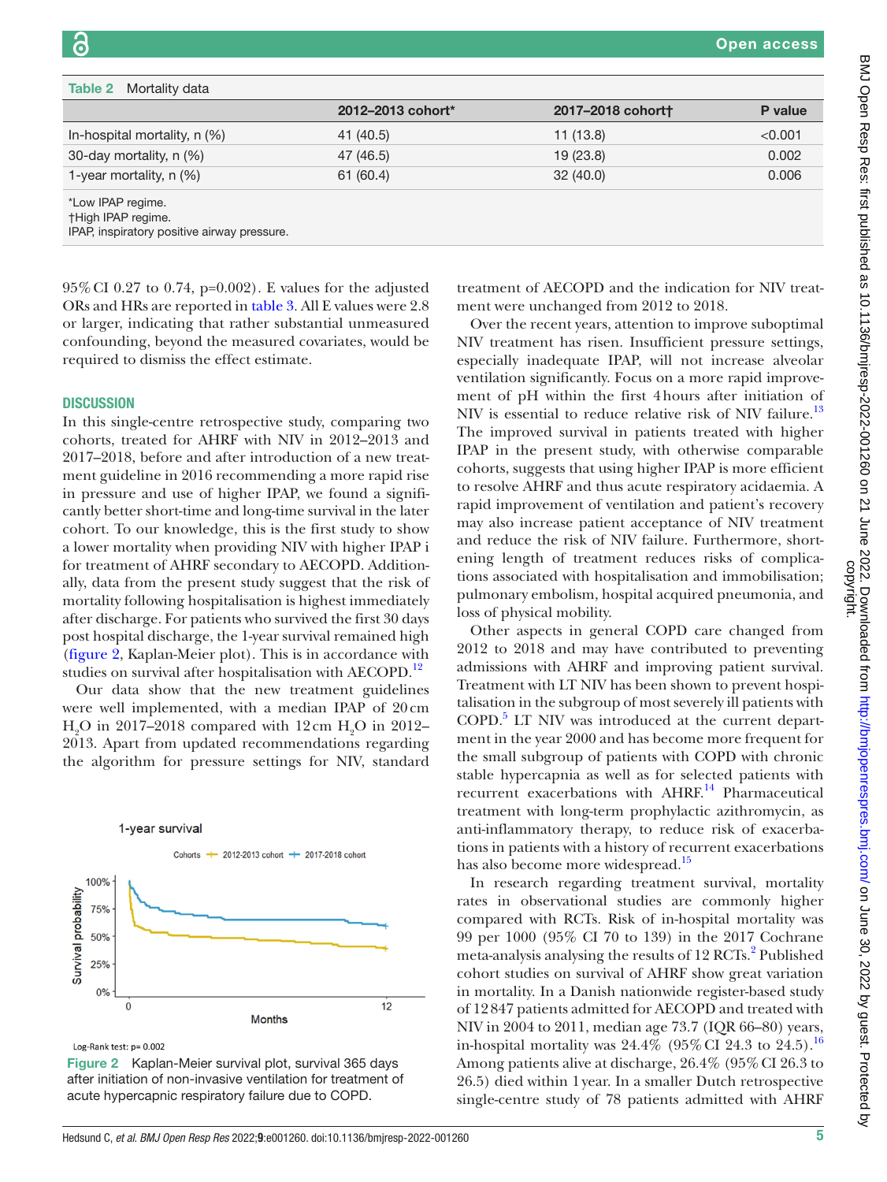<span id="page-4-0"></span>

| <b>Table 2</b> Mortality data                                                                 |                   |                  |         |
|-----------------------------------------------------------------------------------------------|-------------------|------------------|---------|
|                                                                                               | 2012-2013 cohort* | 2017-2018 cohort | P value |
| In-hospital mortality, $n$ (%)                                                                | 41 (40.5)         | 11(13.8)         | < 0.001 |
| 30-day mortality, n (%)                                                                       | 47 (46.5)         | 19(23.8)         | 0.002   |
| 1-year mortality, $n$ (%)                                                                     | 61(60.4)          | 32(40.0)         | 0.006   |
| *Low IPAP regime.<br><b>†High IPAP regime.</b><br>IPAP, inspiratory positive airway pressure. |                   |                  |         |

95%CI 0.27 to 0.74, p=0.002). E values for the adjusted ORs and HRs are reported in [table](#page-5-0) 3. All E values were 2.8 or larger, indicating that rather substantial unmeasured confounding, beyond the measured covariates, would be required to dismiss the effect estimate.

#### **DISCUSSION**

In this single-centre retrospective study, comparing two cohorts, treated for AHRF with NIV in 2012–2013 and 2017–2018, before and after introduction of a new treatment guideline in 2016 recommending a more rapid rise in pressure and use of higher IPAP, we found a significantly better short-time and long-time survival in the later cohort. To our knowledge, this is the first study to show a lower mortality when providing NIV with higher IPAP i for treatment of AHRF secondary to AECOPD. Additionally, data from the present study suggest that the risk of mortality following hospitalisation is highest immediately after discharge. For patients who survived the first 30 days post hospital discharge, the 1-year survival remained high [\(figure](#page-4-1) 2, Kaplan-Meier plot). This is in accordance with studies on survival after hospitalisation with AECOPD.<sup>[12](#page-6-8)</sup>

Our data show that the new treatment guidelines were well implemented, with a median IPAP of 20cm  $\rm H_2O$  in 2017–2018 compared with 12 cm  $\rm H_2O$  in 2012– 2013. Apart from updated recommendations regarding the algorithm for pressure settings for NIV, standard



<span id="page-4-1"></span>Log-Rank test: p= 0.002

Figure 2 Kaplan-Meier survival plot, survival 365 days after initiation of non-invasive ventilation for treatment of acute hypercapnic respiratory failure due to COPD.

treatment of AECOPD and the indication for NIV treatment were unchanged from 2012 to 2018.

Over the recent years, attention to improve suboptimal NIV treatment has risen. Insufficient pressure settings, especially inadequate IPAP, will not increase alveolar ventilation significantly. Focus on a more rapid improvement of pH within the first 4hours after initiation of NIV is essential to reduce relative risk of NIV failure.<sup>13</sup> The improved survival in patients treated with higher IPAP in the present study, with otherwise comparable cohorts, suggests that using higher IPAP is more efficient to resolve AHRF and thus acute respiratory acidaemia. A rapid improvement of ventilation and patient's recovery may also increase patient acceptance of NIV treatment and reduce the risk of NIV failure. Furthermore, shortening length of treatment reduces risks of complications associated with hospitalisation and immobilisation; pulmonary embolism, hospital acquired pneumonia, and loss of physical mobility.

Other aspects in general COPD care changed from 2012 to 2018 and may have contributed to preventing admissions with AHRF and improving patient survival. Treatment with LT NIV has been shown to prevent hospitalisation in the subgroup of most severely ill patients with COPD.<sup>[5](#page-6-3)</sup> LT NIV was introduced at the current department in the year 2000 and has become more frequent for the small subgroup of patients with COPD with chronic stable hypercapnia as well as for selected patients with recurrent exacerbations with AHRF.<sup>14</sup> Pharmaceutical treatment with long-term prophylactic azithromycin, as anti-inflammatory therapy, to reduce risk of exacerbations in patients with a history of recurrent exacerbations has also become more widespread.<sup>[15](#page-6-11)</sup>

In research regarding treatment survival, mortality rates in observational studies are commonly higher compared with RCTs. Risk of in-hospital mortality was 99 per 1000 (95% CI 70 to 139) in the 2017 Cochrane meta-analysis analysing the results of 1[2](#page-6-12) RCTs.<sup>2</sup> Published cohort studies on survival of AHRF show great variation in mortality. In a Danish nationwide register-based study of 12847 patients admitted for AECOPD and treated with NIV in 2004 to 2011, median age 73.7 (IQR 66–80) years, in-hospital mortality was  $24.4\%$  (95% CI 24.3 to 24.5).<sup>16</sup> Among patients alive at discharge, 26.4% (95%CI 26.3 to 26.5) died within 1year. In a smaller Dutch retrospective single-centre study of 78 patients admitted with AHRF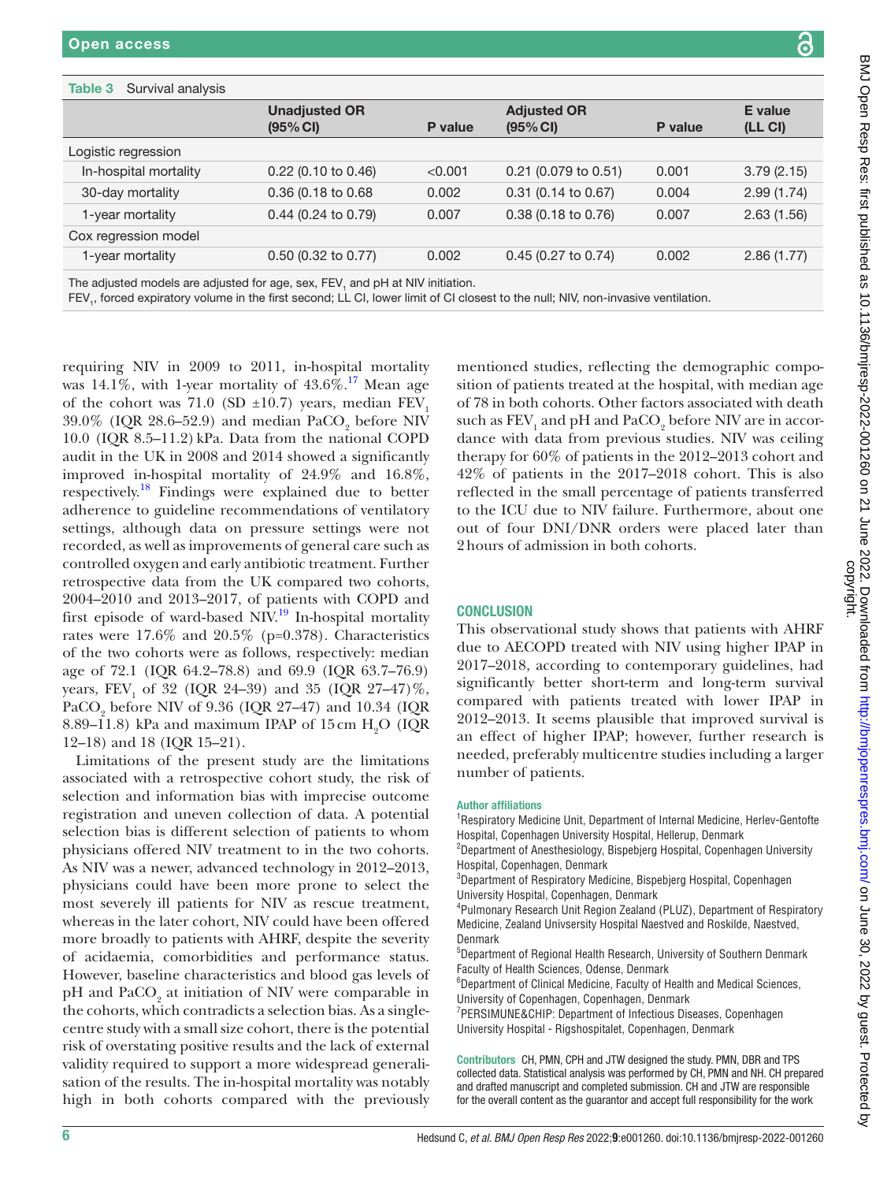Logistic regression

Cox regression model

<span id="page-5-0"></span>Table 3 Survival analysis

|                                                                   | <b>Unadjusted OR</b>                                                                                                                                                                                                                                                                                                                                                                                                                                                                                                                                                                                                                                                                                                                    |         | <b>Adjusted OR</b>                                                                                                                                                                                                                                                                                                                                                                                                                                                                                                                                                                                                                                           |         | <b>E</b> value      |
|-------------------------------------------------------------------|-----------------------------------------------------------------------------------------------------------------------------------------------------------------------------------------------------------------------------------------------------------------------------------------------------------------------------------------------------------------------------------------------------------------------------------------------------------------------------------------------------------------------------------------------------------------------------------------------------------------------------------------------------------------------------------------------------------------------------------------|---------|--------------------------------------------------------------------------------------------------------------------------------------------------------------------------------------------------------------------------------------------------------------------------------------------------------------------------------------------------------------------------------------------------------------------------------------------------------------------------------------------------------------------------------------------------------------------------------------------------------------------------------------------------------------|---------|---------------------|
|                                                                   | (95% CI)                                                                                                                                                                                                                                                                                                                                                                                                                                                                                                                                                                                                                                                                                                                                | P value | (95% CI)                                                                                                                                                                                                                                                                                                                                                                                                                                                                                                                                                                                                                                                     | P value | (LL <sub>CI</sub> ) |
| ogistic regression                                                |                                                                                                                                                                                                                                                                                                                                                                                                                                                                                                                                                                                                                                                                                                                                         |         |                                                                                                                                                                                                                                                                                                                                                                                                                                                                                                                                                                                                                                                              |         |                     |
| In-hospital mortality                                             | 0.22 (0.10 to 0.46)                                                                                                                                                                                                                                                                                                                                                                                                                                                                                                                                                                                                                                                                                                                     | < 0.001 | 0.21 (0.079 to 0.51)                                                                                                                                                                                                                                                                                                                                                                                                                                                                                                                                                                                                                                         | 0.001   | 3.79(2.15)          |
| 30-day mortality                                                  | 0.36 (0.18 to 0.68                                                                                                                                                                                                                                                                                                                                                                                                                                                                                                                                                                                                                                                                                                                      | 0.002   | 0.31 (0.14 to 0.67)                                                                                                                                                                                                                                                                                                                                                                                                                                                                                                                                                                                                                                          | 0.004   | 2.99(1.74)          |
| 1-year mortality                                                  | 0.44 (0.24 to 0.79)                                                                                                                                                                                                                                                                                                                                                                                                                                                                                                                                                                                                                                                                                                                     | 0.007   | 0.38 (0.18 to 0.76)                                                                                                                                                                                                                                                                                                                                                                                                                                                                                                                                                                                                                                          | 0.007   | 2.63(1.56)          |
| ox regression model                                               |                                                                                                                                                                                                                                                                                                                                                                                                                                                                                                                                                                                                                                                                                                                                         |         |                                                                                                                                                                                                                                                                                                                                                                                                                                                                                                                                                                                                                                                              |         |                     |
| 1-year mortality                                                  | 0.50 (0.32 to 0.77)                                                                                                                                                                                                                                                                                                                                                                                                                                                                                                                                                                                                                                                                                                                     | 0.002   | $0.45$ (0.27 to 0.74)                                                                                                                                                                                                                                                                                                                                                                                                                                                                                                                                                                                                                                        | 0.002   | 2.86(1.77)          |
|                                                                   | e adjusted models are adjusted for age, sex, FEV, and pH at NIV initiation.<br>EV <sub>1</sub> , forced expiratory volume in the first second; LL CI, lower limit of CI closest to the null; NIV, non-invasive ventilation.                                                                                                                                                                                                                                                                                                                                                                                                                                                                                                             |         |                                                                                                                                                                                                                                                                                                                                                                                                                                                                                                                                                                                                                                                              |         |                     |
|                                                                   | quiring NIV in 2009 to 2011, in-hospital mortality<br>s 14.1%, with 1-year mortality of $43.6\%$ . <sup>17</sup> Mean age<br>the cohort was 71.0 (SD $\pm$ 10.7) years, median FEV <sub>1</sub><br>.0% (IQR 28.6-52.9) and median PaCO <sub>9</sub> before NIV<br>.0 (IQR 8.5-11.2) kPa. Data from the national COPD<br>dit in the UK in 2008 and 2014 showed a significantly<br>proved in-hospital mortality of 24.9% and 16.8%,<br>spectively. <sup>18</sup> Findings were explained due to better<br>herence to guideline recommendations of ventilatory<br>tings, although data on pressure settings were not<br>corded, as well as improvements of general care such as<br>ntrolled oxygen and early antibiotic treatment. Further |         | mentioned studies, reflecting the demographic compo-<br>sition of patients treated at the hospital, with median age<br>of 78 in both cohorts. Other factors associated with death<br>such as FEV, and pH and PaCO <sub>2</sub> before NIV are in accor-<br>dance with data from previous studies. NIV was ceiling<br>therapy for 60% of patients in the 2012-2013 cohort and<br>$42\%$ of patients in the 2017–2018 cohort. This is also<br>reflected in the small percentage of patients transferred<br>to the ICU due to NIV failure. Furthermore, about one<br>out of four DNI/DNR orders were placed later than<br>2 hours of admission in both cohorts. |         |                     |
| st episode of ward-based NIV. <sup>19</sup> In-hospital mortality | rospective data from the UK compared two cohorts,<br>04-2010 and 2013-2017, of patients with COPD and                                                                                                                                                                                                                                                                                                                                                                                                                                                                                                                                                                                                                                   |         | <b>CONCLUSION</b>                                                                                                                                                                                                                                                                                                                                                                                                                                                                                                                                                                                                                                            |         |                     |

ients with AHRF g higher IPAP in 2017–2018, according to contemporary guidelines, had significantly better short-term and long-term survival compared with patients treated with lower IPAP in 2012–2013. It seems plausible that improved survival is an effect of higher IPAP; however, further research is needed, preferably multicentre studies including a larger number of patients.

#### Author affiliations

<sup>1</sup>Respiratory Medicine Unit, Department of Internal Medicine, Herlev-Gentofte Hospital, Copenhagen University Hospital, Hellerup, Denmark

<sup>2</sup>Department of Anesthesiology, Bispebjerg Hospital, Copenhagen University Hospital, Copenhagen, Denmark

3 Department of Respiratory Medicine, Bispebjerg Hospital, Copenhagen University Hospital, Copenhagen, Denmark

4 Pulmonary Research Unit Region Zealand (PLUZ), Department of Respiratory Medicine, Zealand Univsersity Hospital Naestved and Roskilde, Naestved, Denmark

5 Department of Regional Health Research, University of Southern Denmark Faculty of Health Sciences, Odense, Denmark

6 Department of Clinical Medicine, Faculty of Health and Medical Sciences, University of Copenhagen, Copenhagen, Denmark

7 PERSIMUNE&CHIP: Department of Infectious Diseases, Copenhagen University Hospital - Rigshospitalet, Copenhagen, Denmark

Contributors CH, PMN, CPH and JTW designed the study. PMN, DBR and TPS collected data. Statistical analysis was performed by CH, PMN and NH. CH prepared and drafted manuscript and completed submission. CH and JTW are responsible for the overall content as the guarantor and accept full responsibility for the work

requiring NIV in  $2009$  to  $2011$ , in-hospital mo was 14.1%, with 1-year mortality of  $43.6\%$ .<sup>[17](#page-6-14)</sup> Mean of the cohort was  $71.0$  (SD  $\pm 10.7$ ) years, median  $39.0\%$  (IQR 28.6–52.9) and median PaCO<sub>2</sub> before NIV  $10.0$  (IQR  $8.5-11.2$ ) kPa. Data from the national O audit in the UK in  $2008$  and  $2014$  showed a significantly improved in-hospital mortality of  $24.9\%$  and 1 respectively.<sup>[18](#page-6-15)</sup> Findings were explained due to better adherence to guideline recommendations of ventilations. settings, although data on pressure settings were recorded, as well as improvements of general care supported. controlled oxygen and early antibiotic treatment. Furthermore, retrospective data from the UK compared two co 2004–2010 and 2013–2017, of patients with COPI first episode of ward-based NIV.<sup>19</sup> In-hospital mo rates were  $17.6\%$  and  $20.5\%$  (p=0.378). Characteristics of the two cohorts were as follows, respectively: m age of 72.1 (IQR 64.2–78.8) and 69.9 (IQR 63.7–76.9) years,  $\text{FEV}_1$  of 32 (IQR 24–39) and 35 (IQR 27–47)%, PaCO<sub>2</sub> before NIV of 9.36 (IQR 27–47) and 10.34 (IQR 8.89–11.8) kPa and maximum IPAP of 15 cm  $H_2O$  (IQR 12–18) and 18 (IQR 15–21).

Limitations of the present study are the limitations associated with a retrospective cohort study, the risk of selection and information bias with imprecise outcome registration and uneven collection of data. A potential selection bias is different selection of patients to whom physicians offered NIV treatment to in the two cohorts. As NIV was a newer, advanced technology in 2012–2013, physicians could have been more prone to select the most severely ill patients for NIV as rescue treatment, whereas in the later cohort, NIV could have been offered more broadly to patients with AHRF, despite the severity of acidaemia, comorbidities and performance status. However, baseline characteristics and blood gas levels of pH and  $\text{PaCO}_2$  at initiation of NIV were comparable in the cohorts, which contradicts a selection bias. As a singlecentre study with a small size cohort, there is the potential risk of overstating positive results and the lack of external validity required to support a more widespread generalisation of the results. The in-hospital mortality was notably high in both cohorts compared with the previously